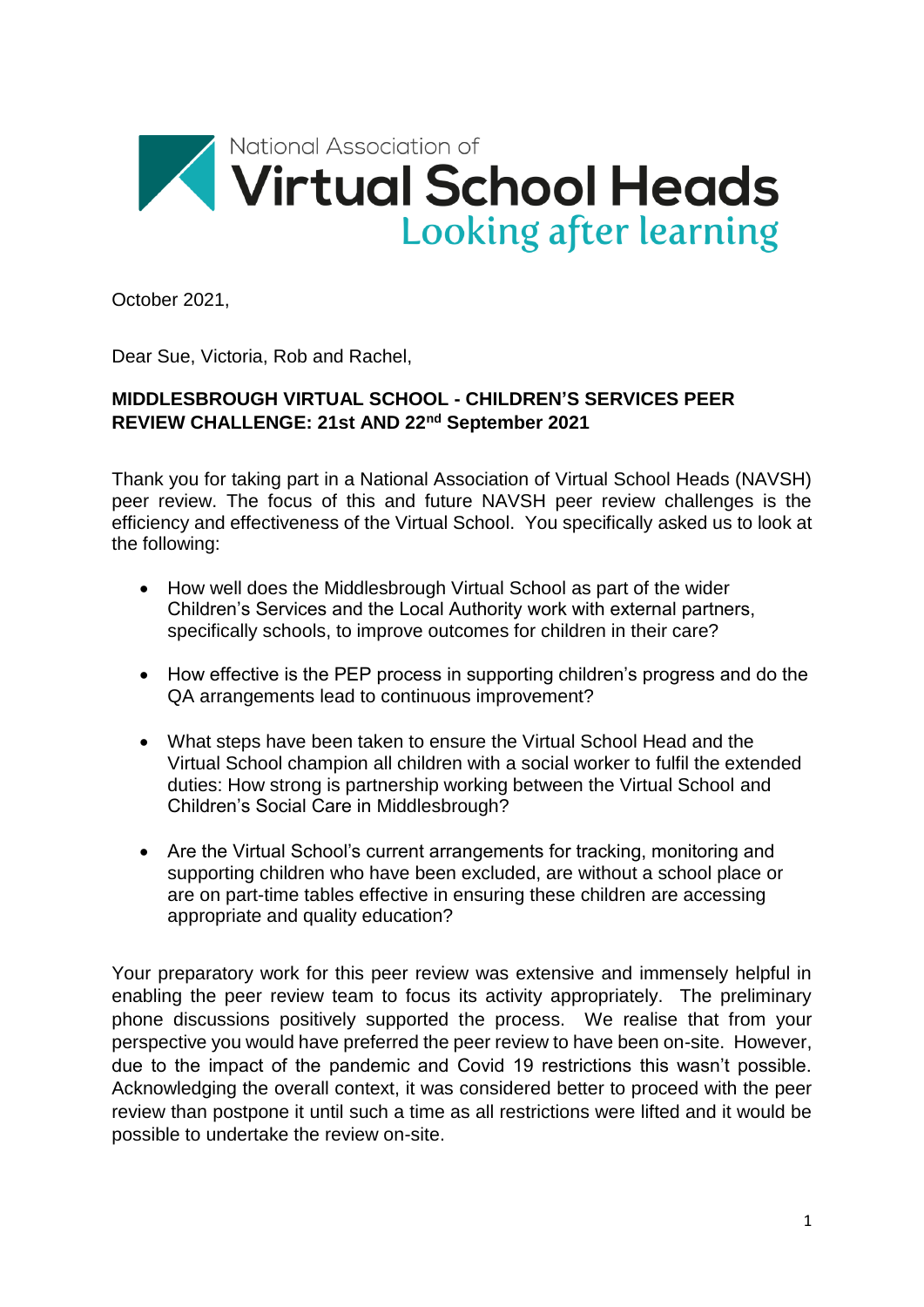

October 2021,

Dear Sue, Victoria, Rob and Rachel,

# **MIDDLESBROUGH VIRTUAL SCHOOL - CHILDREN'S SERVICES PEER REVIEW CHALLENGE: 21st AND 22nd September 2021**

Thank you for taking part in a National Association of Virtual School Heads (NAVSH) peer review. The focus of this and future NAVSH peer review challenges is the efficiency and effectiveness of the Virtual School. You specifically asked us to look at the following:

- How well does the Middlesbrough Virtual School as part of the wider Children's Services and the Local Authority work with external partners, specifically schools, to improve outcomes for children in their care?
- How effective is the PEP process in supporting children's progress and do the QA arrangements lead to continuous improvement?
- What steps have been taken to ensure the Virtual School Head and the Virtual School champion all children with a social worker to fulfil the extended duties: How strong is partnership working between the Virtual School and Children's Social Care in Middlesbrough?
- Are the Virtual School's current arrangements for tracking, monitoring and supporting children who have been excluded, are without a school place or are on part-time tables effective in ensuring these children are accessing appropriate and quality education?

Your preparatory work for this peer review was extensive and immensely helpful in enabling the peer review team to focus its activity appropriately. The preliminary phone discussions positively supported the process. We realise that from your perspective you would have preferred the peer review to have been on-site. However, due to the impact of the pandemic and Covid 19 restrictions this wasn't possible. Acknowledging the overall context, it was considered better to proceed with the peer review than postpone it until such a time as all restrictions were lifted and it would be possible to undertake the review on-site.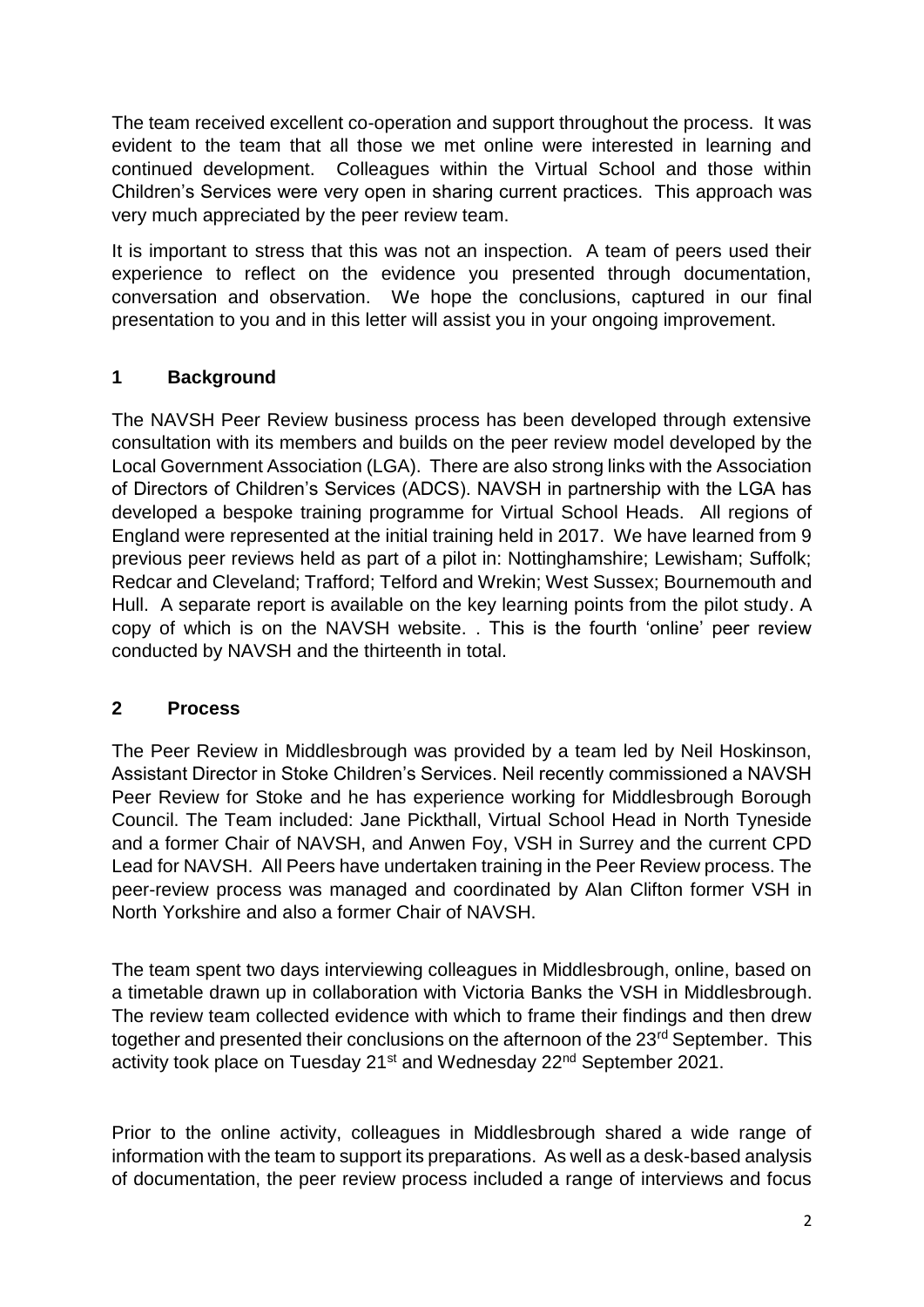The team received excellent co-operation and support throughout the process. It was evident to the team that all those we met online were interested in learning and continued development. Colleagues within the Virtual School and those within Children's Services were very open in sharing current practices. This approach was very much appreciated by the peer review team.

It is important to stress that this was not an inspection. A team of peers used their experience to reflect on the evidence you presented through documentation, conversation and observation. We hope the conclusions, captured in our final presentation to you and in this letter will assist you in your ongoing improvement.

# **1 Background**

The NAVSH Peer Review business process has been developed through extensive consultation with its members and builds on the peer review model developed by the Local Government Association (LGA). There are also strong links with the Association of Directors of Children's Services (ADCS). NAVSH in partnership with the LGA has developed a bespoke training programme for Virtual School Heads. All regions of England were represented at the initial training held in 2017. We have learned from 9 previous peer reviews held as part of a pilot in: Nottinghamshire; Lewisham; Suffolk; Redcar and Cleveland; Trafford; Telford and Wrekin; West Sussex; Bournemouth and Hull. A separate report is available on the key learning points from the pilot study. A copy of which is on the NAVSH website. . This is the fourth 'online' peer review conducted by NAVSH and the thirteenth in total.

## **2 Process**

The Peer Review in Middlesbrough was provided by a team led by Neil Hoskinson, Assistant Director in Stoke Children's Services. Neil recently commissioned a NAVSH Peer Review for Stoke and he has experience working for Middlesbrough Borough Council. The Team included: Jane Pickthall, Virtual School Head in North Tyneside and a former Chair of NAVSH, and Anwen Foy, VSH in Surrey and the current CPD Lead for NAVSH. All Peers have undertaken training in the Peer Review process. The peer-review process was managed and coordinated by Alan Clifton former VSH in North Yorkshire and also a former Chair of NAVSH.

The team spent two days interviewing colleagues in Middlesbrough, online, based on a timetable drawn up in collaboration with Victoria Banks the VSH in Middlesbrough. The review team collected evidence with which to frame their findings and then drew together and presented their conclusions on the afternoon of the 23<sup>rd</sup> September. This activity took place on Tuesday 21<sup>st</sup> and Wednesday 22<sup>nd</sup> September 2021.

Prior to the online activity, colleagues in Middlesbrough shared a wide range of information with the team to support its preparations. As well as a desk-based analysis of documentation, the peer review process included a range of interviews and focus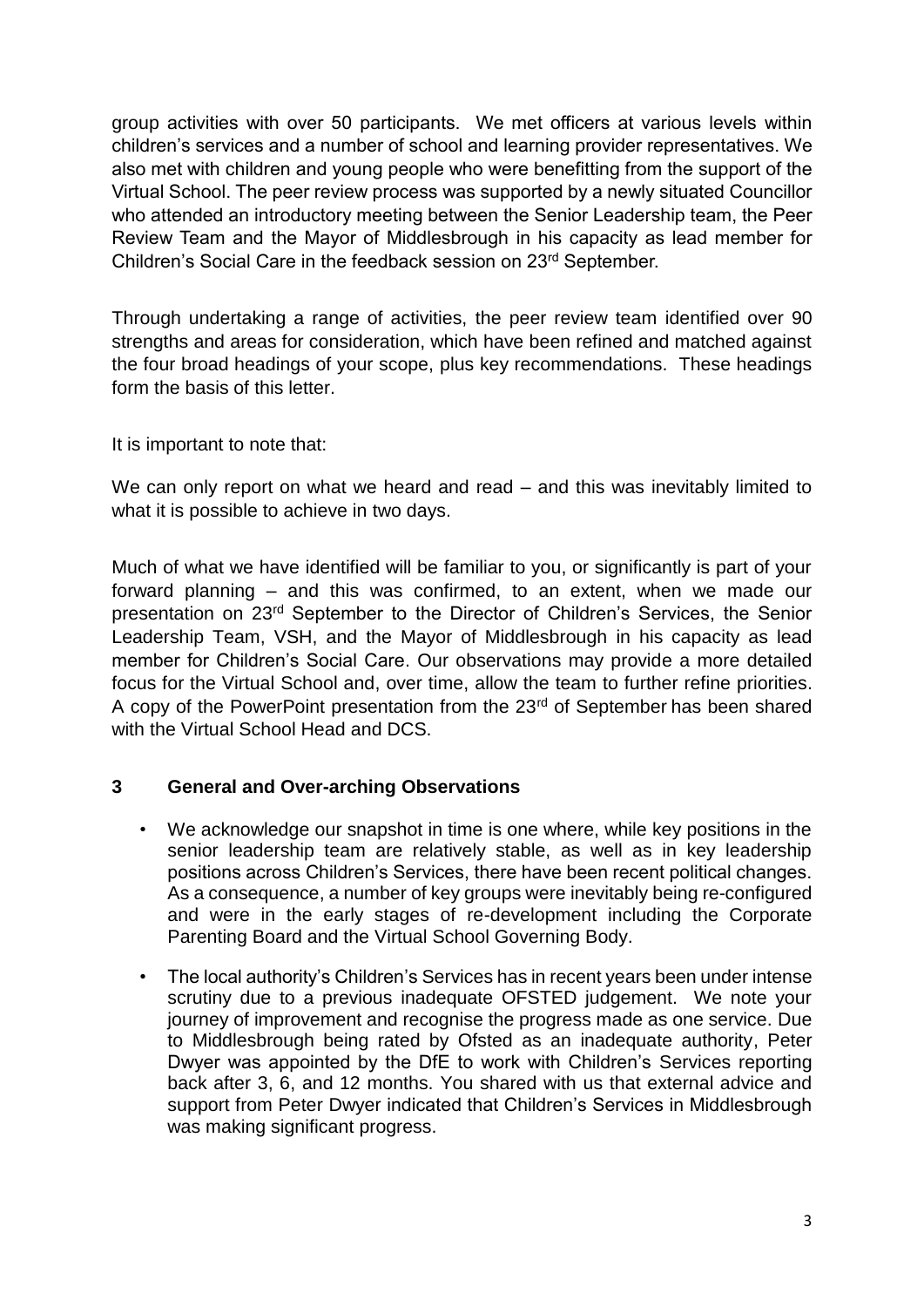group activities with over 50 participants. We met officers at various levels within children's services and a number of school and learning provider representatives. We also met with children and young people who were benefitting from the support of the Virtual School. The peer review process was supported by a newly situated Councillor who attended an introductory meeting between the Senior Leadership team, the Peer Review Team and the Mayor of Middlesbrough in his capacity as lead member for Children's Social Care in the feedback session on 23rd September.

Through undertaking a range of activities, the peer review team identified over 90 strengths and areas for consideration, which have been refined and matched against the four broad headings of your scope, plus key recommendations. These headings form the basis of this letter.

It is important to note that:

We can only report on what we heard and read – and this was inevitably limited to what it is possible to achieve in two days.

Much of what we have identified will be familiar to you, or significantly is part of your forward planning – and this was confirmed, to an extent, when we made our presentation on 23rd September to the Director of Children's Services, the Senior Leadership Team, VSH, and the Mayor of Middlesbrough in his capacity as lead member for Children's Social Care. Our observations may provide a more detailed focus for the Virtual School and, over time, allow the team to further refine priorities. A copy of the PowerPoint presentation from the 23<sup>rd</sup> of September has been shared with the Virtual School Head and DCS

## **3 General and Over-arching Observations**

- We acknowledge our snapshot in time is one where, while key positions in the senior leadership team are relatively stable, as well as in key leadership positions across Children's Services, there have been recent political changes. As a consequence, a number of key groups were inevitably being re-configured and were in the early stages of re-development including the Corporate Parenting Board and the Virtual School Governing Body.
- The local authority's Children's Services has in recent years been under intense scrutiny due to a previous inadequate OFSTED judgement. We note your journey of improvement and recognise the progress made as one service. Due to Middlesbrough being rated by Ofsted as an inadequate authority, Peter Dwyer was appointed by the DfE to work with Children's Services reporting back after 3, 6, and 12 months. You shared with us that external advice and support from Peter Dwyer indicated that Children's Services in Middlesbrough was making significant progress.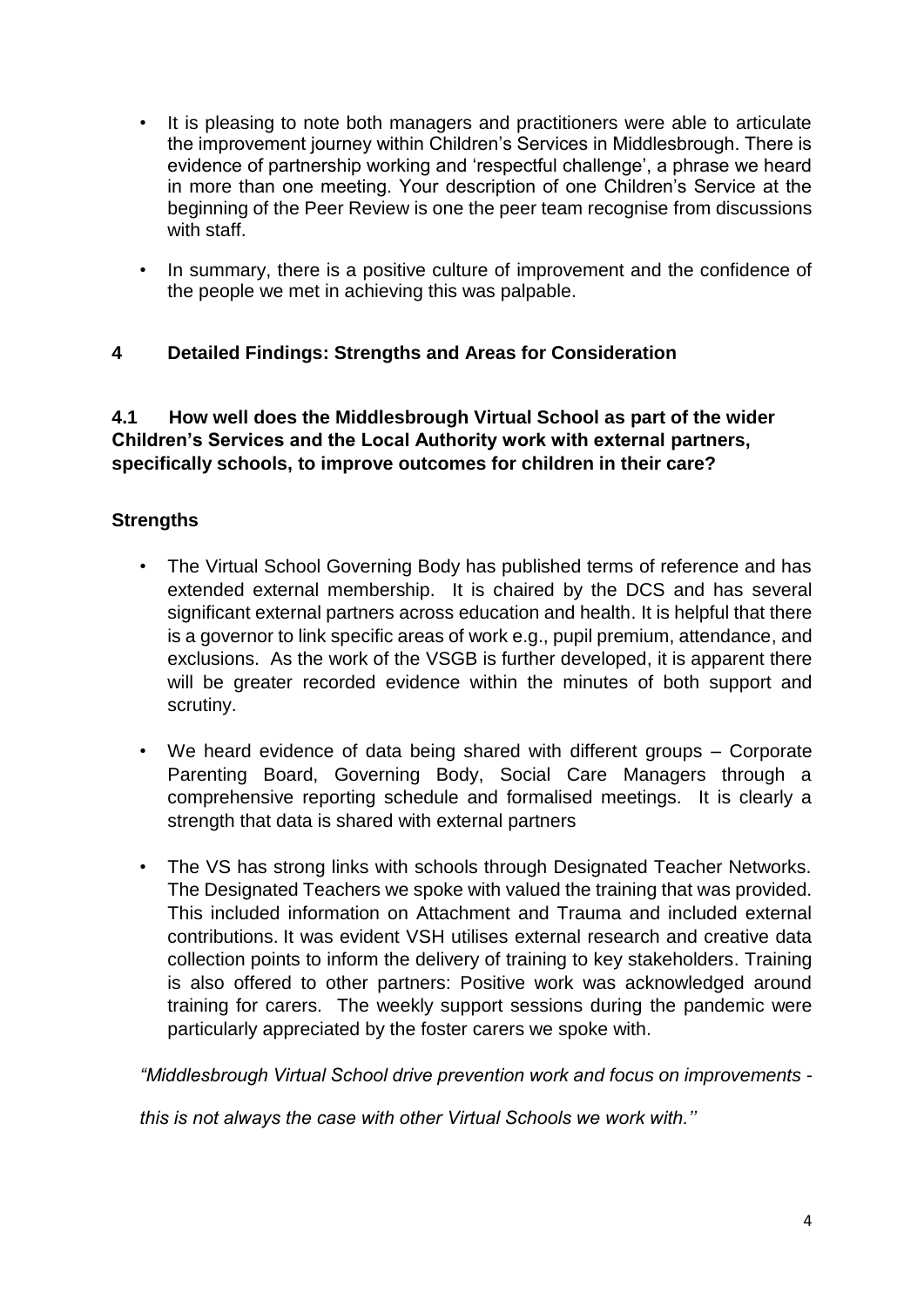- It is pleasing to note both managers and practitioners were able to articulate the improvement journey within Children's Services in Middlesbrough. There is evidence of partnership working and 'respectful challenge', a phrase we heard in more than one meeting. Your description of one Children's Service at the beginning of the Peer Review is one the peer team recognise from discussions with staff.
- In summary, there is a positive culture of improvement and the confidence of the people we met in achieving this was palpable.

# **4 Detailed Findings: Strengths and Areas for Consideration**

**4.1 How well does the Middlesbrough Virtual School as part of the wider Children's Services and the Local Authority work with external partners, specifically schools, to improve outcomes for children in their care?**

## **Strengths**

- The Virtual School Governing Body has published terms of reference and has extended external membership. It is chaired by the DCS and has several significant external partners across education and health. It is helpful that there is a governor to link specific areas of work e.g., pupil premium, attendance, and exclusions. As the work of the VSGB is further developed, it is apparent there will be greater recorded evidence within the minutes of both support and scrutiny.
- We heard evidence of data being shared with different groups Corporate Parenting Board, Governing Body, Social Care Managers through a comprehensive reporting schedule and formalised meetings. It is clearly a strength that data is shared with external partners
- The VS has strong links with schools through Designated Teacher Networks. The Designated Teachers we spoke with valued the training that was provided. This included information on Attachment and Trauma and included external contributions. It was evident VSH utilises external research and creative data collection points to inform the delivery of training to key stakeholders. Training is also offered to other partners: Positive work was acknowledged around training for carers. The weekly support sessions during the pandemic were particularly appreciated by the foster carers we spoke with.

*"Middlesbrough Virtual School drive prevention work and focus on improvements -*

*this is not always the case with other Virtual Schools we work with.''*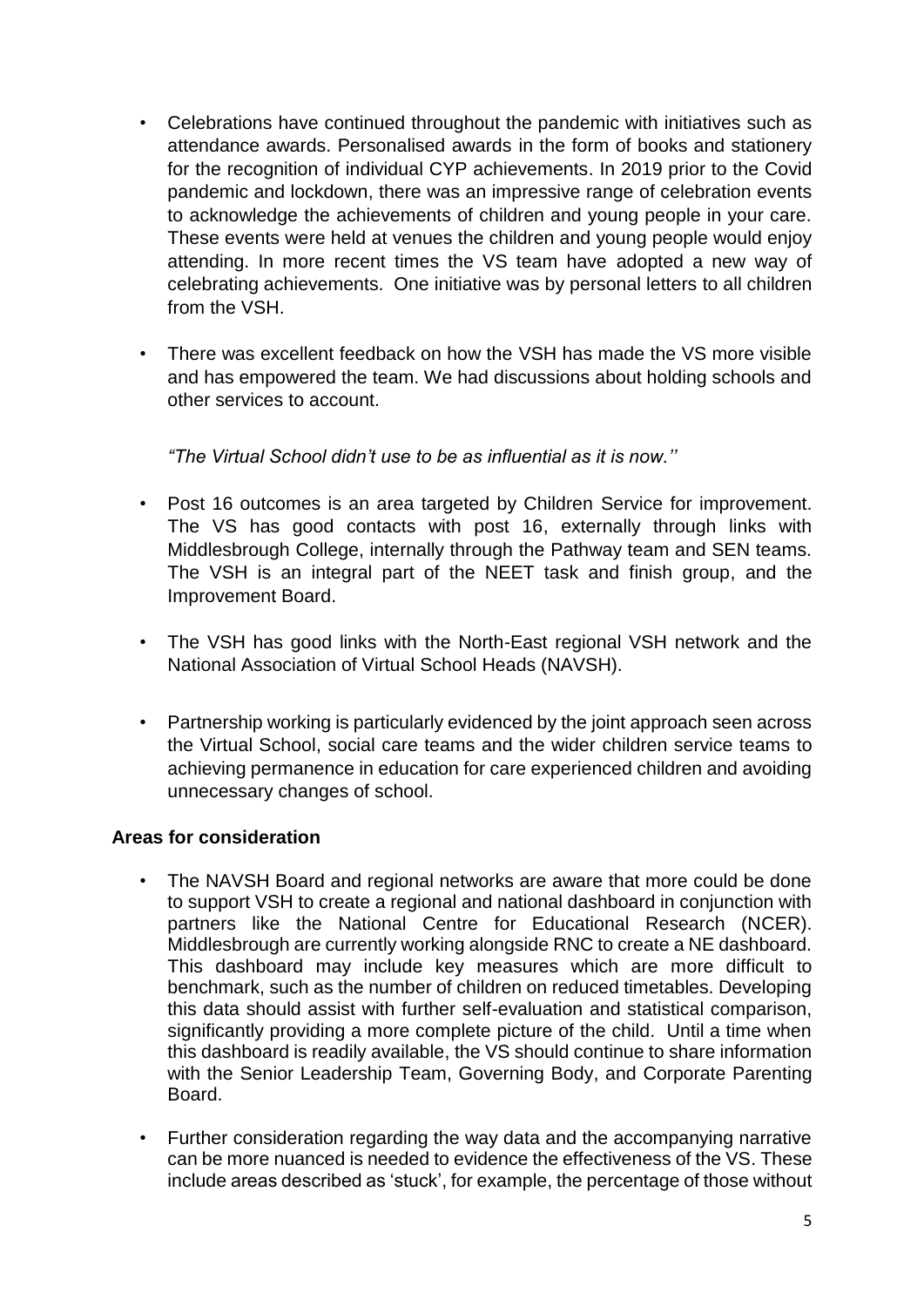- Celebrations have continued throughout the pandemic with initiatives such as attendance awards. Personalised awards in the form of books and stationery for the recognition of individual CYP achievements. In 2019 prior to the Covid pandemic and lockdown, there was an impressive range of celebration events to acknowledge the achievements of children and young people in your care. These events were held at venues the children and young people would enjoy attending. In more recent times the VS team have adopted a new way of celebrating achievements. One initiative was by personal letters to all children from the VSH.
- There was excellent feedback on how the VSH has made the VS more visible and has empowered the team. We had discussions about holding schools and other services to account.

*"The Virtual School didn't use to be as influential as it is now.''*

- Post 16 outcomes is an area targeted by Children Service for improvement. The VS has good contacts with post 16, externally through links with Middlesbrough College, internally through the Pathway team and SEN teams. The VSH is an integral part of the NEET task and finish group, and the Improvement Board.
- The VSH has good links with the North-East regional VSH network and the National Association of Virtual School Heads (NAVSH).
- Partnership working is particularly evidenced by the joint approach seen across the Virtual School, social care teams and the wider children service teams to achieving permanence in education for care experienced children and avoiding unnecessary changes of school.

## **Areas for consideration**

- The NAVSH Board and regional networks are aware that more could be done to support VSH to create a regional and national dashboard in conjunction with partners like the National Centre for Educational Research (NCER). Middlesbrough are currently working alongside RNC to create a NE dashboard. This dashboard may include key measures which are more difficult to benchmark, such as the number of children on reduced timetables. Developing this data should assist with further self-evaluation and statistical comparison, significantly providing a more complete picture of the child. Until a time when this dashboard is readily available, the VS should continue to share information with the Senior Leadership Team, Governing Body, and Corporate Parenting Board.
- Further consideration regarding the way data and the accompanying narrative can be more nuanced is needed to evidence the effectiveness of the VS. These include areas described as 'stuck', for example, the percentage of those without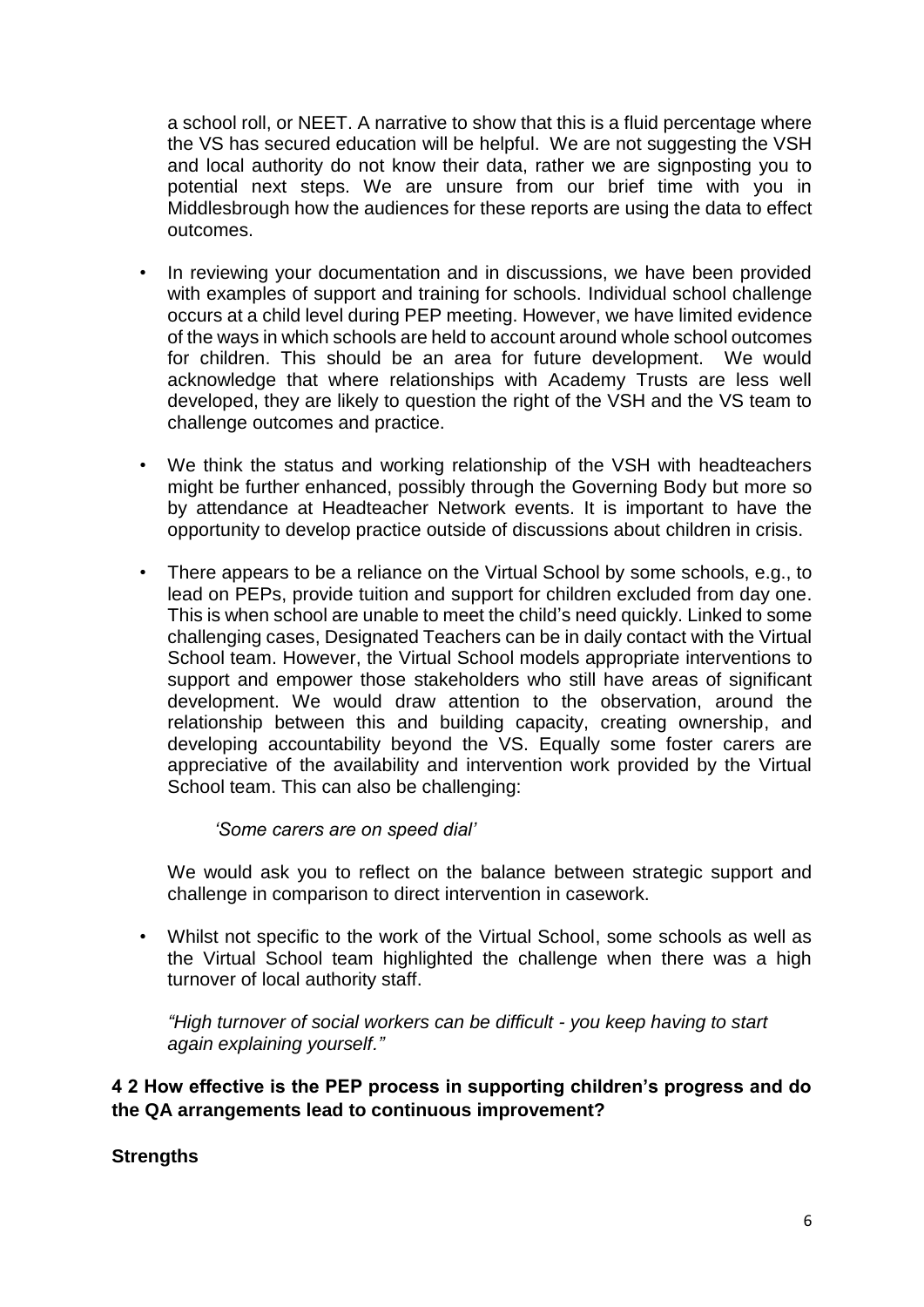a school roll, or NEET. A narrative to show that this is a fluid percentage where the VS has secured education will be helpful. We are not suggesting the VSH and local authority do not know their data, rather we are signposting you to potential next steps. We are unsure from our brief time with you in Middlesbrough how the audiences for these reports are using the data to effect outcomes.

- In reviewing your documentation and in discussions, we have been provided with examples of support and training for schools. Individual school challenge occurs at a child level during PEP meeting. However, we have limited evidence of the ways in which schools are held to account around whole school outcomes for children. This should be an area for future development. We would acknowledge that where relationships with Academy Trusts are less well developed, they are likely to question the right of the VSH and the VS team to challenge outcomes and practice.
- We think the status and working relationship of the VSH with headteachers might be further enhanced, possibly through the Governing Body but more so by attendance at Headteacher Network events. It is important to have the opportunity to develop practice outside of discussions about children in crisis.
- There appears to be a reliance on the Virtual School by some schools, e.g., to lead on PEPs, provide tuition and support for children excluded from day one. This is when school are unable to meet the child's need quickly. Linked to some challenging cases, Designated Teachers can be in daily contact with the Virtual School team. However, the Virtual School models appropriate interventions to support and empower those stakeholders who still have areas of significant development. We would draw attention to the observation, around the relationship between this and building capacity, creating ownership, and developing accountability beyond the VS. Equally some foster carers are appreciative of the availability and intervention work provided by the Virtual School team. This can also be challenging:

 *'Some carers are on speed dial'*

We would ask you to reflect on the balance between strategic support and challenge in comparison to direct intervention in casework.

• Whilst not specific to the work of the Virtual School, some schools as well as the Virtual School team highlighted the challenge when there was a high turnover of local authority staff.

*"High turnover of social workers can be difficult - you keep having to start again explaining yourself."*

**4 2 How effective is the PEP process in supporting children's progress and do the QA arrangements lead to continuous improvement?**

**Strengths**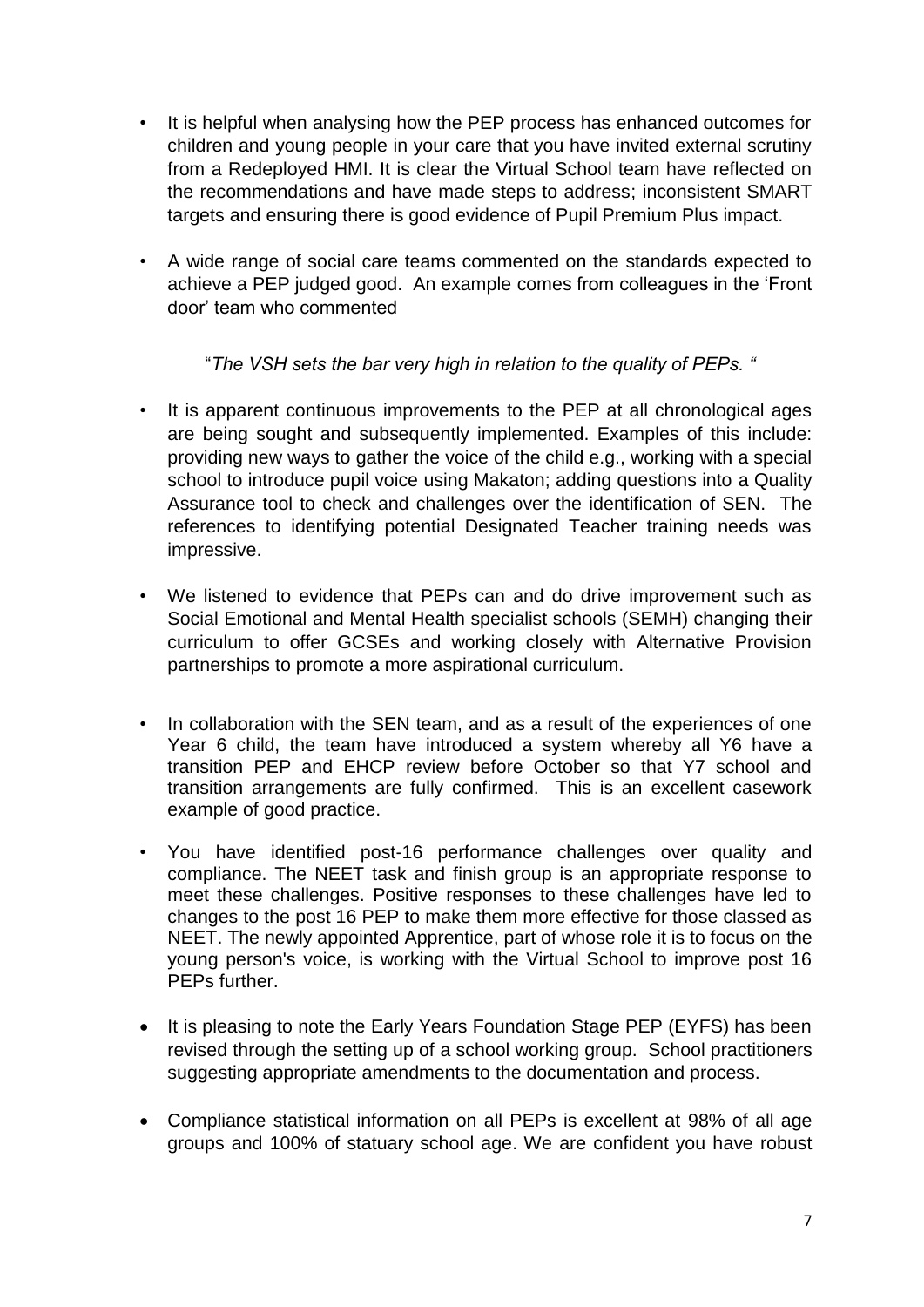- It is helpful when analysing how the PEP process has enhanced outcomes for children and young people in your care that you have invited external scrutiny from a Redeployed HMI. It is clear the Virtual School team have reflected on the recommendations and have made steps to address; inconsistent SMART targets and ensuring there is good evidence of Pupil Premium Plus impact.
- A wide range of social care teams commented on the standards expected to achieve a PEP judged good. An example comes from colleagues in the 'Front door' team who commented

"*The VSH sets the bar very high in relation to the quality of PEPs. "*

- It is apparent continuous improvements to the PEP at all chronological ages are being sought and subsequently implemented. Examples of this include: providing new ways to gather the voice of the child e.g., working with a special school to introduce pupil voice using Makaton; adding questions into a Quality Assurance tool to check and challenges over the identification of SEN. The references to identifying potential Designated Teacher training needs was impressive.
- We listened to evidence that PEPs can and do drive improvement such as Social Emotional and Mental Health specialist schools (SEMH) changing their curriculum to offer GCSEs and working closely with Alternative Provision partnerships to promote a more aspirational curriculum.
- In collaboration with the SEN team, and as a result of the experiences of one Year 6 child, the team have introduced a system whereby all Y6 have a transition PEP and EHCP review before October so that Y7 school and transition arrangements are fully confirmed. This is an excellent casework example of good practice.
- You have identified post-16 performance challenges over quality and compliance. The NEET task and finish group is an appropriate response to meet these challenges. Positive responses to these challenges have led to changes to the post 16 PEP to make them more effective for those classed as NEET. The newly appointed Apprentice, part of whose role it is to focus on the young person's voice, is working with the Virtual School to improve post 16 PEPs further.
- It is pleasing to note the Early Years Foundation Stage PEP (EYFS) has been revised through the setting up of a school working group. School practitioners suggesting appropriate amendments to the documentation and process.
- Compliance statistical information on all PEPs is excellent at 98% of all age groups and 100% of statuary school age. We are confident you have robust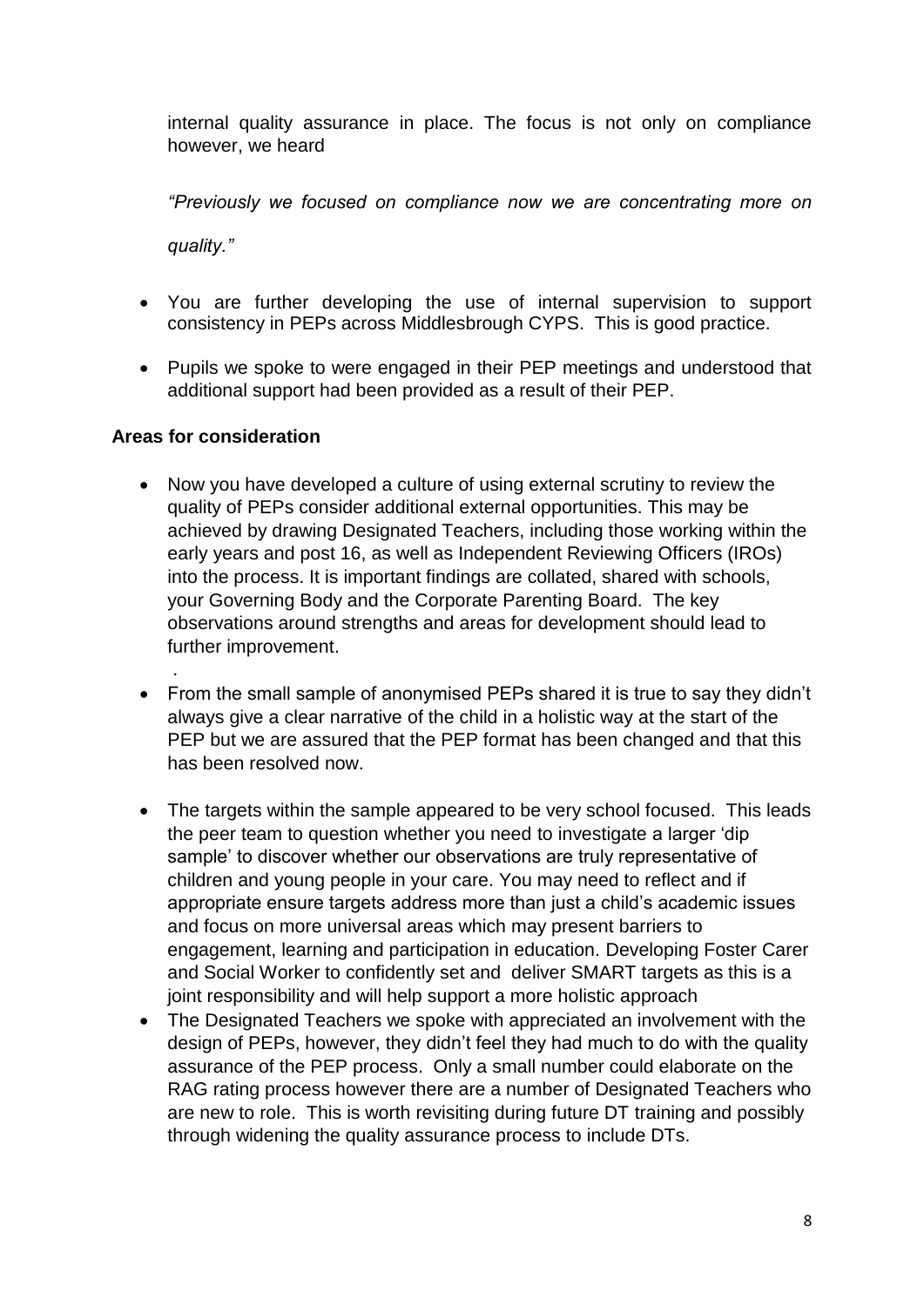internal quality assurance in place. The focus is not only on compliance however, we heard

*"Previously we focused on compliance now we are concentrating more on* 

*quality."*

- You are further developing the use of internal supervision to support consistency in PEPs across Middlesbrough CYPS. This is good practice.
- Pupils we spoke to were engaged in their PEP meetings and understood that additional support had been provided as a result of their PEP.

## **Areas for consideration**

.

- Now you have developed a culture of using external scrutiny to review the quality of PEPs consider additional external opportunities. This may be achieved by drawing Designated Teachers, including those working within the early years and post 16, as well as Independent Reviewing Officers (IROs) into the process. It is important findings are collated, shared with schools, your Governing Body and the Corporate Parenting Board. The key observations around strengths and areas for development should lead to further improvement.
- From the small sample of anonymised PEPs shared it is true to say they didn't always give a clear narrative of the child in a holistic way at the start of the PEP but we are assured that the PEP format has been changed and that this has been resolved now.
- The targets within the sample appeared to be very school focused. This leads the peer team to question whether you need to investigate a larger 'dip sample' to discover whether our observations are truly representative of children and young people in your care. You may need to reflect and if appropriate ensure targets address more than just a child's academic issues and focus on more universal areas which may present barriers to engagement, learning and participation in education. Developing Foster Carer and Social Worker to confidently set and deliver SMART targets as this is a joint responsibility and will help support a more holistic approach
- The Designated Teachers we spoke with appreciated an involvement with the design of PEPs, however, they didn't feel they had much to do with the quality assurance of the PEP process. Only a small number could elaborate on the RAG rating process however there are a number of Designated Teachers who are new to role. This is worth revisiting during future DT training and possibly through widening the quality assurance process to include DTs.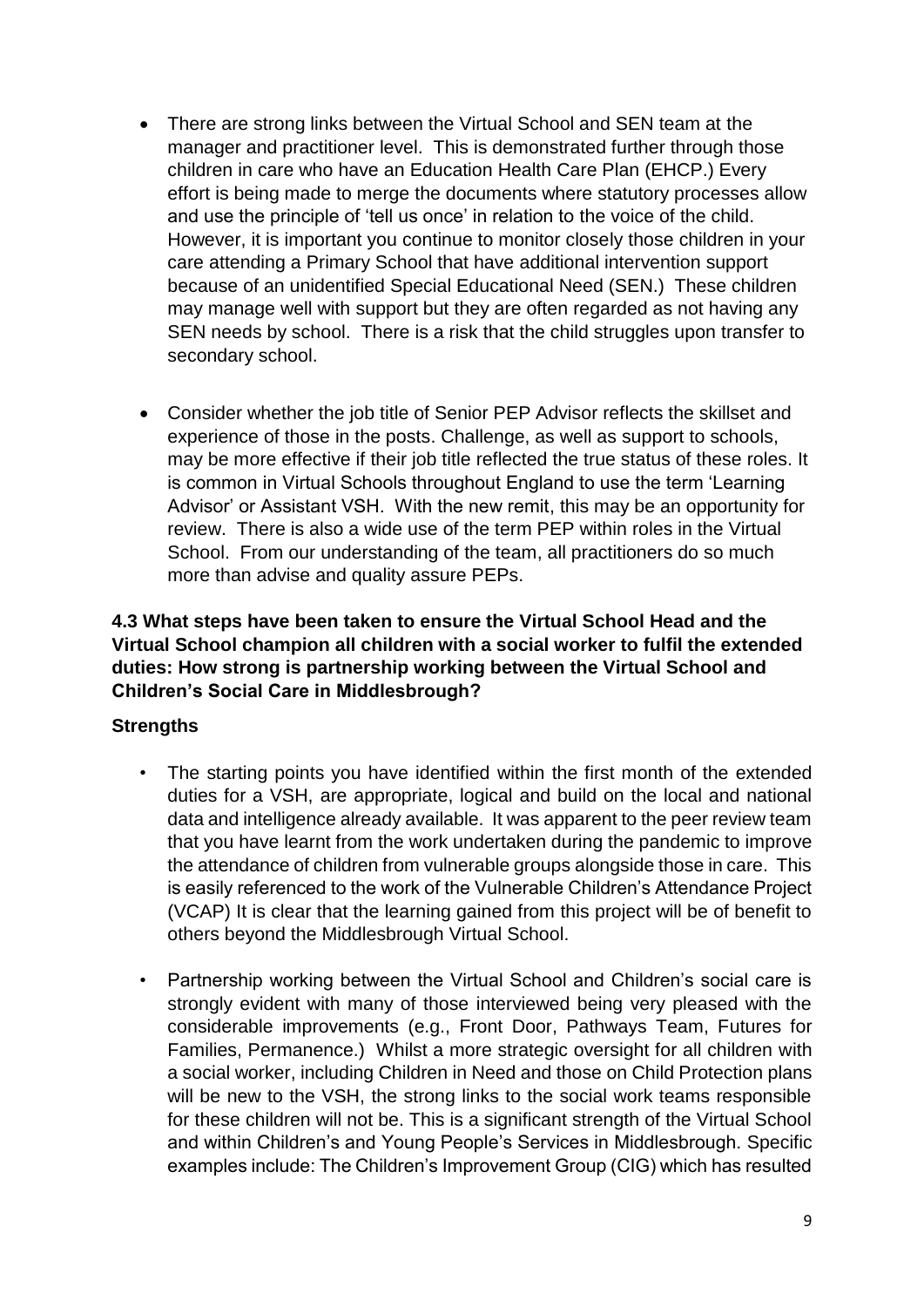- There are strong links between the Virtual School and SEN team at the manager and practitioner level. This is demonstrated further through those children in care who have an Education Health Care Plan (EHCP.) Every effort is being made to merge the documents where statutory processes allow and use the principle of 'tell us once' in relation to the voice of the child. However, it is important you continue to monitor closely those children in your care attending a Primary School that have additional intervention support because of an unidentified Special Educational Need (SEN.) These children may manage well with support but they are often regarded as not having any SEN needs by school. There is a risk that the child struggles upon transfer to secondary school.
- Consider whether the job title of Senior PEP Advisor reflects the skillset and experience of those in the posts. Challenge, as well as support to schools, may be more effective if their job title reflected the true status of these roles. It is common in Virtual Schools throughout England to use the term 'Learning Advisor' or Assistant VSH. With the new remit, this may be an opportunity for review. There is also a wide use of the term PEP within roles in the Virtual School. From our understanding of the team, all practitioners do so much more than advise and quality assure PEPs.

# **4.3 What steps have been taken to ensure the Virtual School Head and the Virtual School champion all children with a social worker to fulfil the extended duties: How strong is partnership working between the Virtual School and Children's Social Care in Middlesbrough?**

# **Strengths**

- The starting points you have identified within the first month of the extended duties for a VSH, are appropriate, logical and build on the local and national data and intelligence already available. It was apparent to the peer review team that you have learnt from the work undertaken during the pandemic to improve the attendance of children from vulnerable groups alongside those in care. This is easily referenced to the work of the Vulnerable Children's Attendance Project (VCAP) It is clear that the learning gained from this project will be of benefit to others beyond the Middlesbrough Virtual School.
- Partnership working between the Virtual School and Children's social care is strongly evident with many of those interviewed being very pleased with the considerable improvements (e.g., Front Door, Pathways Team, Futures for Families, Permanence.) Whilst a more strategic oversight for all children with a social worker, including Children in Need and those on Child Protection plans will be new to the VSH, the strong links to the social work teams responsible for these children will not be. This is a significant strength of the Virtual School and within Children's and Young People's Services in Middlesbrough. Specific examples include: The Children's Improvement Group (CIG) which has resulted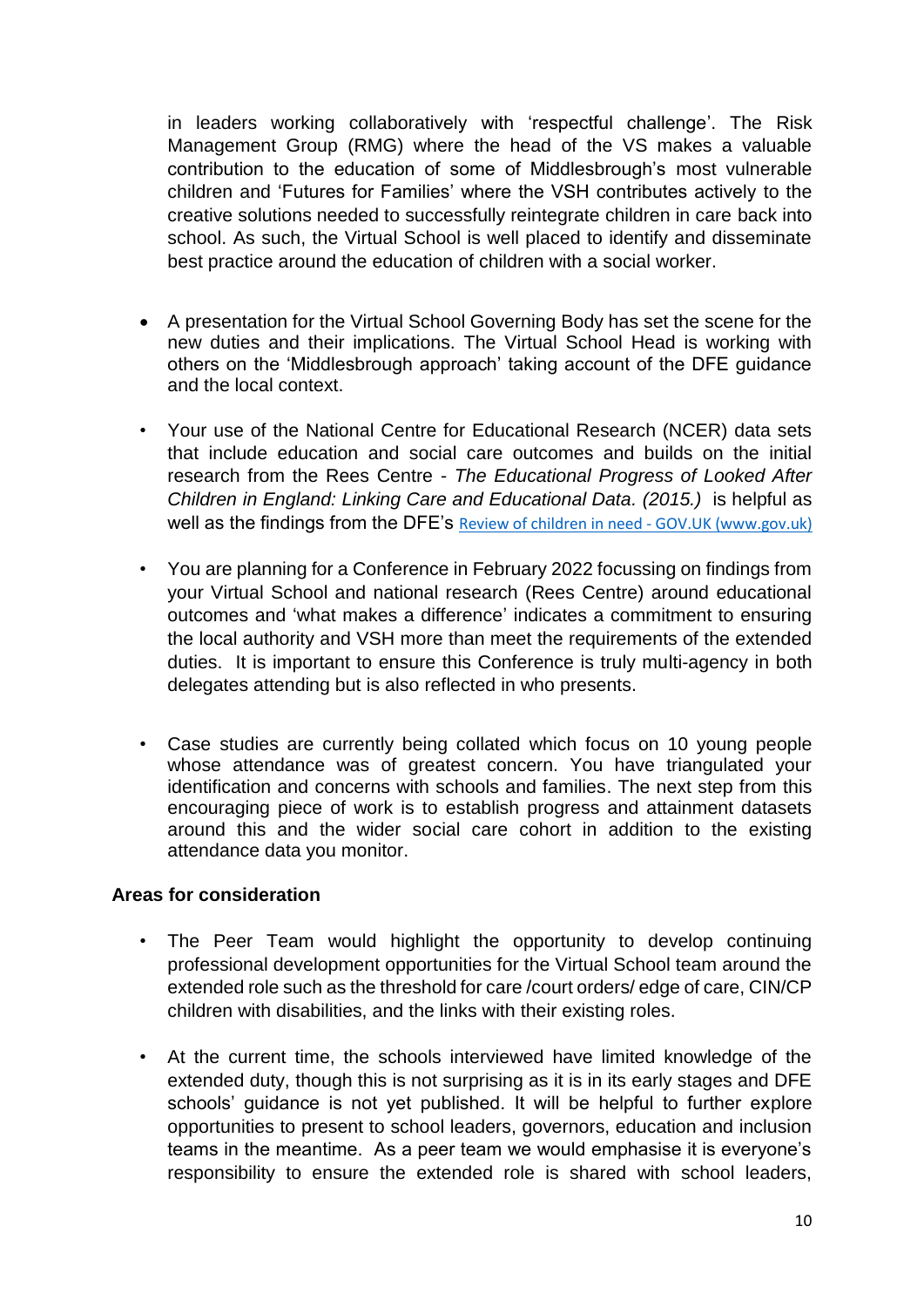in leaders working collaboratively with 'respectful challenge'. The Risk Management Group (RMG) where the head of the VS makes a valuable contribution to the education of some of Middlesbrough's most vulnerable children and 'Futures for Families' where the VSH contributes actively to the creative solutions needed to successfully reintegrate children in care back into school. As such, the Virtual School is well placed to identify and disseminate best practice around the education of children with a social worker.

- A presentation for the Virtual School Governing Body has set the scene for the new duties and their implications. The Virtual School Head is working with others on the 'Middlesbrough approach' taking account of the DFE guidance and the local context.
- Your use of the National Centre for Educational Research (NCER) data sets that include education and social care outcomes and builds on the initial research from the Rees Centre *- The Educational Progress of Looked After Children in England: Linking Care and Educational Data. (2015.)* is helpful as well as the findings from the DFE's Review of children in need - GOV.UK (www.gov.uk)
- You are planning for a Conference in February 2022 focussing on findings from your Virtual School and national research (Rees Centre) around educational outcomes and 'what makes a difference' indicates a commitment to ensuring the local authority and VSH more than meet the requirements of the extended duties. It is important to ensure this Conference is truly multi-agency in both delegates attending but is also reflected in who presents.
- Case studies are currently being collated which focus on 10 young people whose attendance was of greatest concern. You have triangulated your identification and concerns with schools and families. The next step from this encouraging piece of work is to establish progress and attainment datasets around this and the wider social care cohort in addition to the existing attendance data you monitor.

#### **Areas for consideration**

- The Peer Team would highlight the opportunity to develop continuing professional development opportunities for the Virtual School team around the extended role such as the threshold for care /court orders/ edge of care, CIN/CP children with disabilities, and the links with their existing roles.
- At the current time, the schools interviewed have limited knowledge of the extended duty, though this is not surprising as it is in its early stages and DFE schools' guidance is not yet published. It will be helpful to further explore opportunities to present to school leaders, governors, education and inclusion teams in the meantime. As a peer team we would emphasise it is everyone's responsibility to ensure the extended role is shared with school leaders,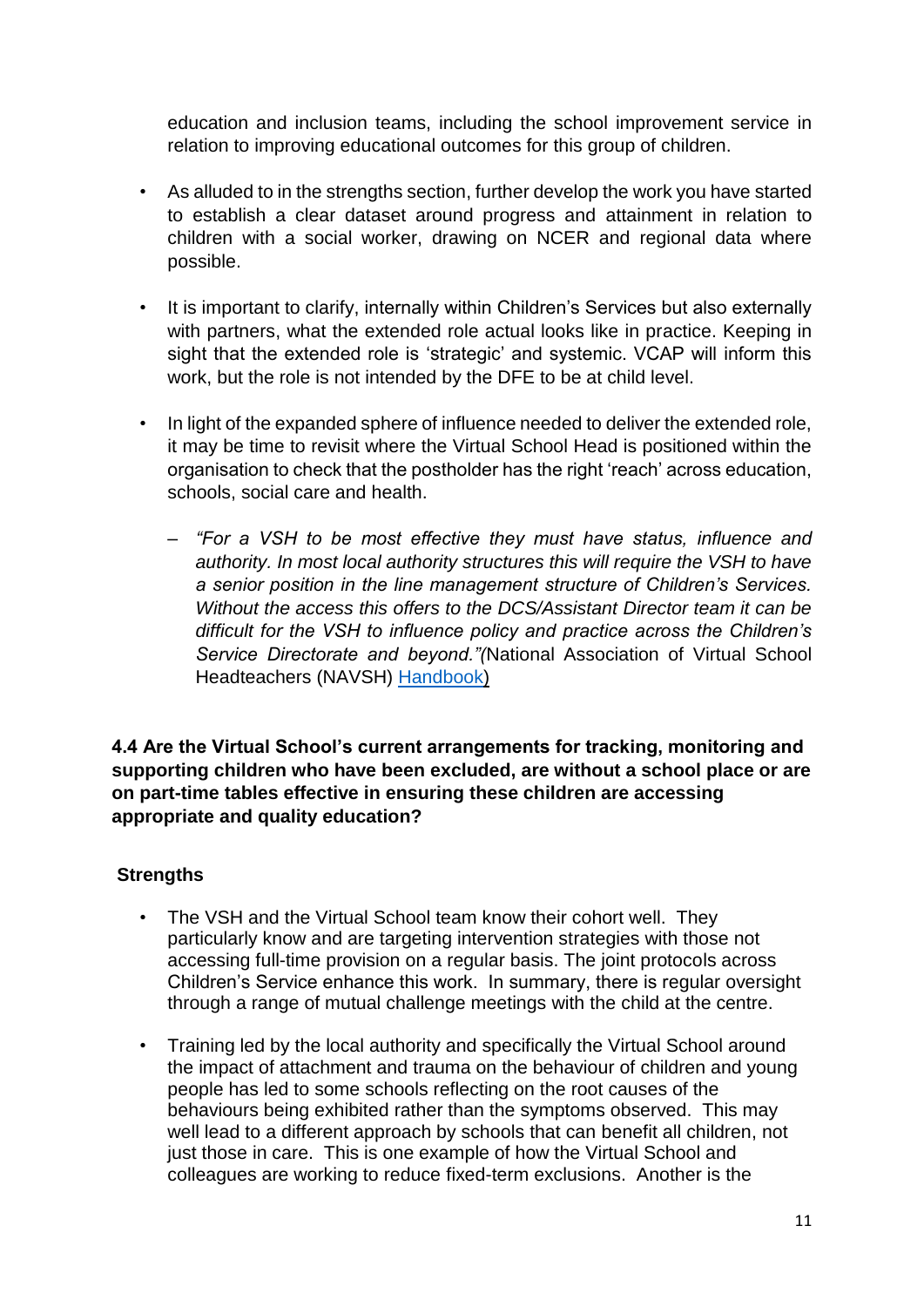education and inclusion teams, including the school improvement service in relation to improving educational outcomes for this group of children.

- As alluded to in the strengths section, further develop the work you have started to establish a clear dataset around progress and attainment in relation to children with a social worker, drawing on NCER and regional data where possible.
- It is important to clarify, internally within Children's Services but also externally with partners, what the extended role actual looks like in practice. Keeping in sight that the extended role is 'strategic' and systemic. VCAP will inform this work, but the role is not intended by the DFE to be at child level.
- In light of the expanded sphere of influence needed to deliver the extended role, it may be time to revisit where the Virtual School Head is positioned within the organisation to check that the postholder has the right 'reach' across education, schools, social care and health.
	- *"For a VSH to be most effective they must have status, influence and authority. In most local authority structures this will require the VSH to have a senior position in the line management structure of Children's Services. Without the access this offers to the DCS/Assistant Director team it can be difficult for the VSH to influence policy and practice across the Children's Service Directorate and beyond."(*National Association of Virtual School Headteachers (NAVSH) [Handbook\)](https://navsh.org.uk/wp-content/uploads/2018/11/NAVSH-The-Virtual-School-Handbook-2018.pdf)

**4.4 Are the Virtual School's current arrangements for tracking, monitoring and supporting children who have been excluded, are without a school place or are on part-time tables effective in ensuring these children are accessing appropriate and quality education?**

# **Strengths**

- The VSH and the Virtual School team know their cohort well. They particularly know and are targeting intervention strategies with those not accessing full-time provision on a regular basis. The joint protocols across Children's Service enhance this work. In summary, there is regular oversight through a range of mutual challenge meetings with the child at the centre.
- Training led by the local authority and specifically the Virtual School around the impact of attachment and trauma on the behaviour of children and young people has led to some schools reflecting on the root causes of the behaviours being exhibited rather than the symptoms observed. This may well lead to a different approach by schools that can benefit all children, not just those in care. This is one example of how the Virtual School and colleagues are working to reduce fixed-term exclusions. Another is the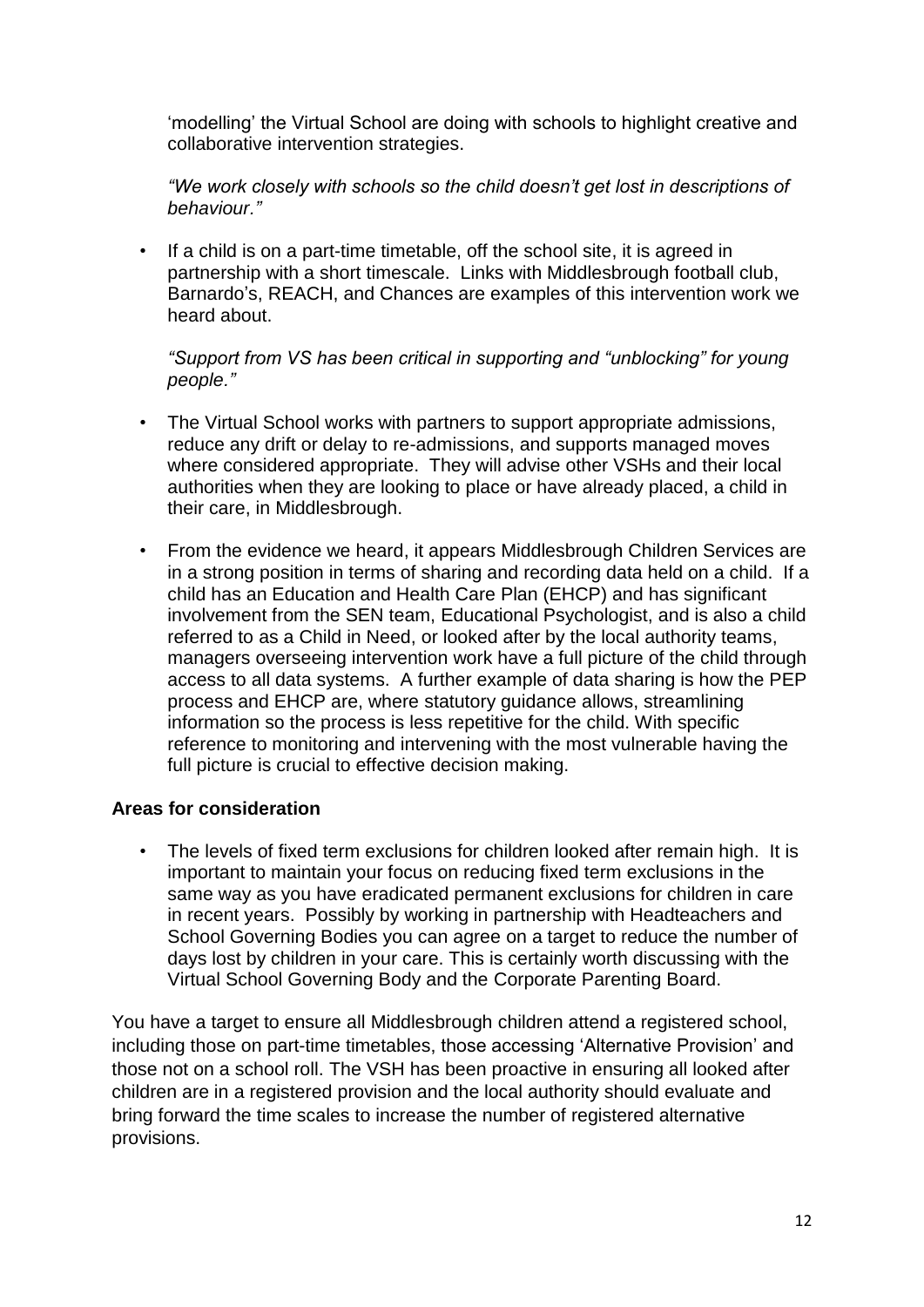'modelling' the Virtual School are doing with schools to highlight creative and collaborative intervention strategies.

*"We work closely with schools so the child doesn't get lost in descriptions of behaviour."*

• If a child is on a part-time timetable, off the school site, it is agreed in partnership with a short timescale. Links with Middlesbrough football club, Barnardo's, REACH, and Chances are examples of this intervention work we heard about.

*"Support from VS has been critical in supporting and "unblocking" for young people."*

- The Virtual School works with partners to support appropriate admissions, reduce any drift or delay to re-admissions, and supports managed moves where considered appropriate. They will advise other VSHs and their local authorities when they are looking to place or have already placed, a child in their care, in Middlesbrough.
- From the evidence we heard, it appears Middlesbrough Children Services are in a strong position in terms of sharing and recording data held on a child. If a child has an Education and Health Care Plan (EHCP) and has significant involvement from the SEN team, Educational Psychologist, and is also a child referred to as a Child in Need, or looked after by the local authority teams, managers overseeing intervention work have a full picture of the child through access to all data systems. A further example of data sharing is how the PEP process and EHCP are, where statutory guidance allows, streamlining information so the process is less repetitive for the child. With specific reference to monitoring and intervening with the most vulnerable having the full picture is crucial to effective decision making.

## **Areas for consideration**

The levels of fixed term exclusions for children looked after remain high. It is important to maintain your focus on reducing fixed term exclusions in the same way as you have eradicated permanent exclusions for children in care in recent years. Possibly by working in partnership with Headteachers and School Governing Bodies you can agree on a target to reduce the number of days lost by children in your care. This is certainly worth discussing with the Virtual School Governing Body and the Corporate Parenting Board.

You have a target to ensure all Middlesbrough children attend a registered school, including those on part-time timetables, those accessing 'Alternative Provision' and those not on a school roll. The VSH has been proactive in ensuring all looked after children are in a registered provision and the local authority should evaluate and bring forward the time scales to increase the number of registered alternative provisions.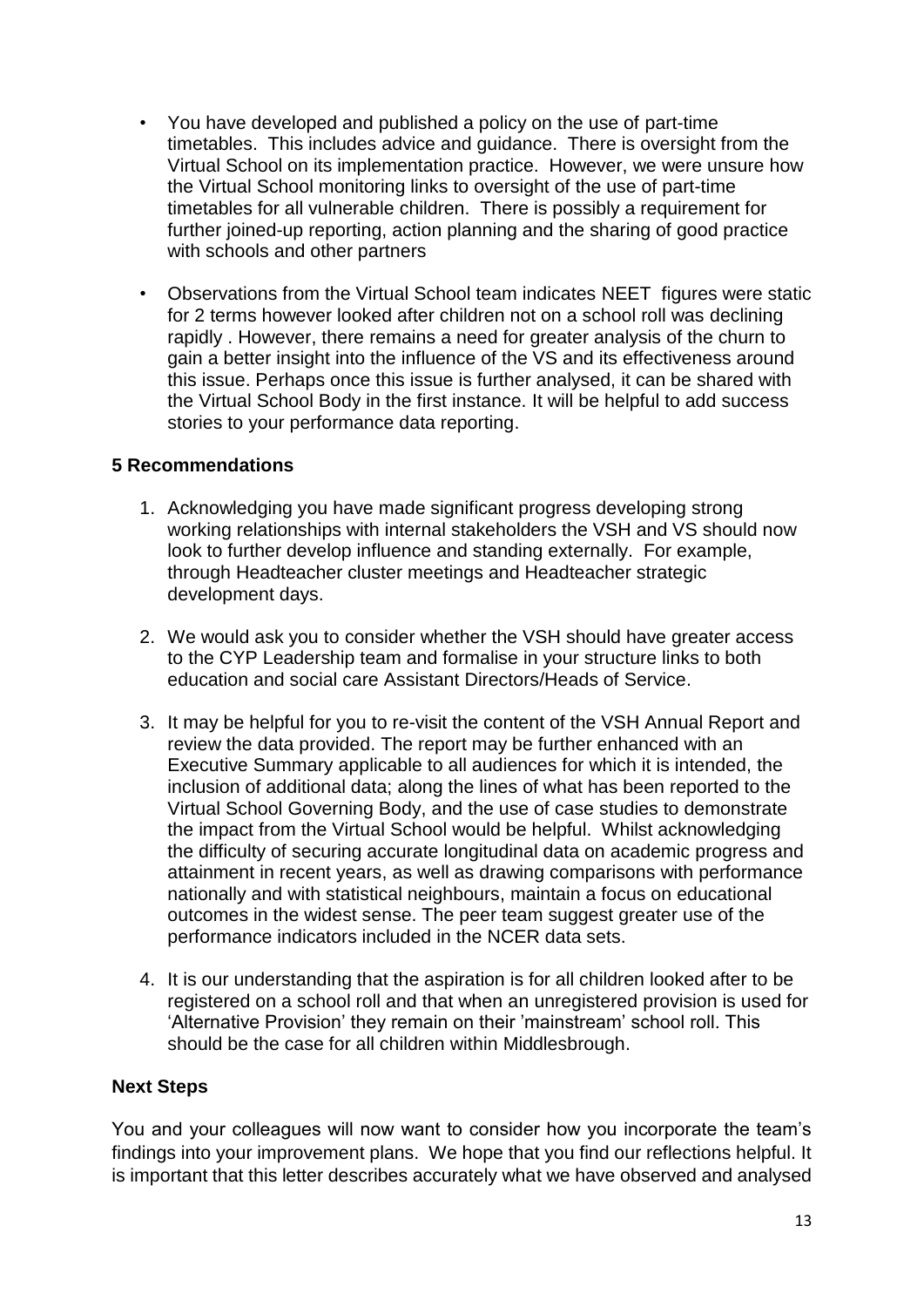- You have developed and published a policy on the use of part-time timetables. This includes advice and guidance. There is oversight from the Virtual School on its implementation practice. However, we were unsure how the Virtual School monitoring links to oversight of the use of part-time timetables for all vulnerable children. There is possibly a requirement for further joined-up reporting, action planning and the sharing of good practice with schools and other partners
- Observations from the Virtual School team indicates NEET figures were static for 2 terms however looked after children not on a school roll was declining rapidly . However, there remains a need for greater analysis of the churn to gain a better insight into the influence of the VS and its effectiveness around this issue. Perhaps once this issue is further analysed, it can be shared with the Virtual School Body in the first instance. It will be helpful to add success stories to your performance data reporting.

#### **5 Recommendations**

- 1. Acknowledging you have made significant progress developing strong working relationships with internal stakeholders the VSH and VS should now look to further develop influence and standing externally. For example, through Headteacher cluster meetings and Headteacher strategic development days.
- 2. We would ask you to consider whether the VSH should have greater access to the CYP Leadership team and formalise in your structure links to both education and social care Assistant Directors/Heads of Service.
- 3. It may be helpful for you to re-visit the content of the VSH Annual Report and review the data provided. The report may be further enhanced with an Executive Summary applicable to all audiences for which it is intended, the inclusion of additional data; along the lines of what has been reported to the Virtual School Governing Body, and the use of case studies to demonstrate the impact from the Virtual School would be helpful. Whilst acknowledging the difficulty of securing accurate longitudinal data on academic progress and attainment in recent years, as well as drawing comparisons with performance nationally and with statistical neighbours, maintain a focus on educational outcomes in the widest sense. The peer team suggest greater use of the performance indicators included in the NCER data sets.
- 4. It is our understanding that the aspiration is for all children looked after to be registered on a school roll and that when an unregistered provision is used for 'Alternative Provision' they remain on their 'mainstream' school roll. This should be the case for all children within Middlesbrough.

#### **Next Steps**

You and your colleagues will now want to consider how you incorporate the team's findings into your improvement plans. We hope that you find our reflections helpful. It is important that this letter describes accurately what we have observed and analysed